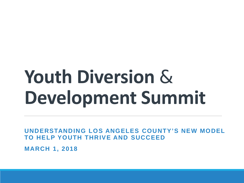# **Youth Diversion** & **Development Summit**

**UNDERSTANDING LOS ANGELES COUNTY'S NEW MODEL TO HELP YOUTH THRIVE AND SUCCEED**

**MARCH 1, 2018**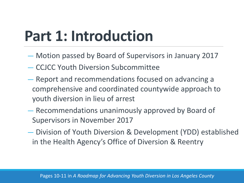## **Part 1: Introduction**

- Motion passed by Board of Supervisors in January 2017
- CCJCC Youth Diversion Subcommittee
- Report and recommendations focused on advancing a comprehensive and coordinated countywide approach to youth diversion in lieu of arrest
- Recommendations unanimously approved by Board of Supervisors in November 2017
- Division of Youth Diversion & Development (YDD) established in the Health Agency's Office of Diversion & Reentry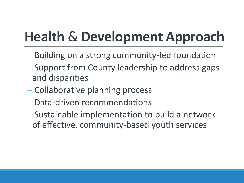## **Health** & **Development Approach**

- − Building on a strong community-led foundation
- − Support from County leadership to address gaps and disparities
- − Collaborative planning process
- − Data-driven recommendations
- − Sustainable implementation to build a network of effective, community-based youth services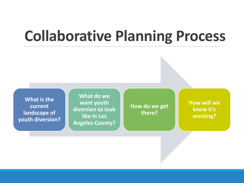### **Collaborative Planning Process**

**What is the current landscape of youth diversion?**

**What do we want youth diversion to look like in Los Angeles County?**

**How do we get there?**

**How will we know it's working?**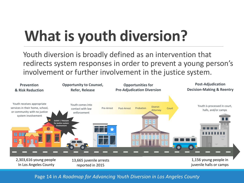# **What is youth diversion?**

Youth diversion is broadly defined as an intervention that redirects system responses in order to prevent a young person's involvement or further involvement in the justice system.



#### Page 14 in *A Roadmap for Advancing Youth Diversion in Los Angeles County*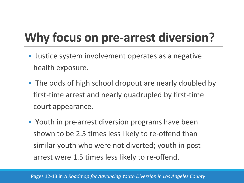#### **Why focus on pre-arrest diversion?**

- Justice system involvement operates as a negative health exposure.
- **The odds of high school dropout are nearly doubled by** first-time arrest and nearly quadrupled by first-time court appearance.
- **Part 20 Youth in pre-arrest diversion programs have been** shown to be 2.5 times less likely to re-offend than similar youth who were not diverted; youth in postarrest were 1.5 times less likely to re-offend.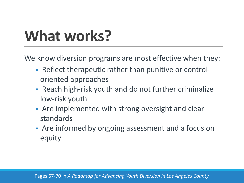## **What works?**

We know diversion programs are most effective when they:

- Reflect therapeutic rather than punitive or controloriented approaches
- Reach high-risk youth and do not further criminalize low-risk youth
- Are implemented with strong oversight and clear standards
- Are informed by ongoing assessment and a focus on equity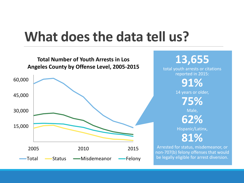#### **What does the data tell us?**



**13,655** total youth arrests or citations reported in 2015: **91%**

14 years or older,

**75%**

Male, **62%**

Hispanic/Latinx,

**81%**

Arrested for status, misdemeanor, or non-707(b) felony offenses that would be legally eligible for arrest diversion.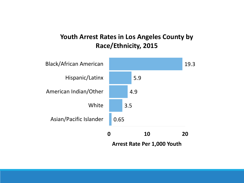#### **Youth Arrest Rates in Los Angeles County by Race/Ethnicity, 2015**

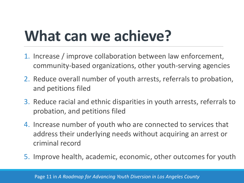## **What can we achieve?**

- 1. Increase / improve collaboration between law enforcement, community-based organizations, other youth-serving agencies
- 2. Reduce overall number of youth arrests, referrals to probation, and petitions filed
- 3. Reduce racial and ethnic disparities in youth arrests, referrals to probation, and petitions filed
- 4. Increase number of youth who are connected to services that address their underlying needs without acquiring an arrest or criminal record
- 5. Improve health, academic, economic, other outcomes for youth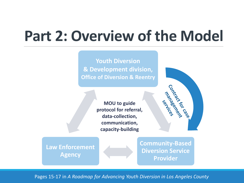### **Part 2: Overview of the Model**

**Youth Diversion & Development division, Office of Diversion & Reentry**

> **MOU to guide protocol for referral, data-collection, communication, capacity-building**



**Law Enforcement Agency** 

**Community-Based Diversion Service Provider**

Pages 15-17 in *A Roadmap for Advancing Youth Diversion in Los Angeles County*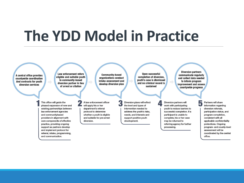#### **The YDD Model in Practice**

A central office provides countywide coordination And contracts for youth diversion services

Law enforcement refers eligible and suitable youth to community-based diversion partner in lieu of arrest or citation

**Community-based** organizations conduct intake assessment and develop diversion plan

**Upon successful** completion of diversion, youth's case is dismissed and no criminal record is sustained

**Diversion partners** communicate regularly and collect data needed to inform program improvement and assess countywide progress

 $\blacksquare$ 

J

This office will quide the phased expansion of new and existing partnerships between law enforcement agencies and communitybased providers in alignment with core components of effective practice, providing ongoing support as partners develop and implement protocol for referral, intake, programming, and communication.

A law enforcement officer will apply his or her department's referral protocol to determine whether a youth is eligible and suitable for pre-arrest diversion.

Diversion plans will reflect the level and types of intervention needed to address the youth's risks, needs, and interests and support positive youth development.

Diversion partners will work with participating vouth to reduce barriers to successful completion. If a participant is unable to complete, his or her case may be returned to referring agency for further processing.

Partners will share information regarding diversion referrals. participation status, and program completion, consistent with all applicable confidentiality protections. Ongoing program- and county-level assessment will be coordinated by the central office.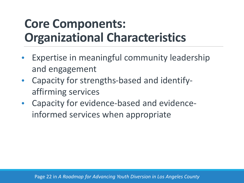#### **Core Components: Organizational Characteristics**

- Expertise in meaningful community leadership and engagement
- Capacity for strengths-based and identifyaffirming services
- Capacity for evidence-based and evidenceinformed services when appropriate

Page 22 in *A Roadmap for Advancing Youth Diversion in Los Angeles County*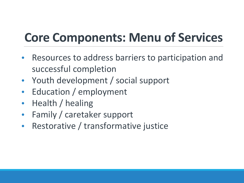#### **Core Components: Menu of Services**

- Resources to address barriers to participation and successful completion
- Youth development / social support
- Education / employment
- Health / healing
- Family / caretaker support
- Restorative / transformative justice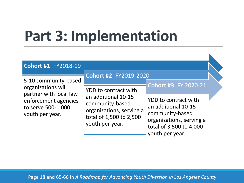## **Part 3: Implementation**

| <b>Cohort #1: FY2018-19</b>                                                                                                           |                                                                                                                                                                           |                                                                                                                                          |  |
|---------------------------------------------------------------------------------------------------------------------------------------|---------------------------------------------------------------------------------------------------------------------------------------------------------------------------|------------------------------------------------------------------------------------------------------------------------------------------|--|
| 5-10 community-based<br>organizations will<br>partner with local law<br>enforcement agencies<br>to serve 500-1,000<br>youth per year. | <b>Cohort #2: FY2019-2020</b><br>YDD to contract with<br>an additional 10-15<br>community-based<br>organizations, serving a<br>total of 1,500 to 2,500<br>youth per year. | <b>Cohort #3: FY 2020-21</b>                                                                                                             |  |
|                                                                                                                                       |                                                                                                                                                                           | YDD to contract with<br>an additional 10-15<br>community-based<br>organizations, serving a<br>total of 3,500 to 4,000<br>youth per year. |  |

 $\blacktriangleright$ 

Page 18 and 65-66 in *A Roadmap for Advancing Youth Diversion in Los Angeles County*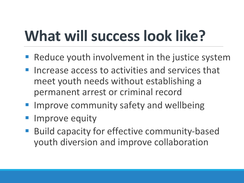## **What will success look like?**

- Reduce youth involvement in the justice system
- Increase access to activities and services that meet youth needs without establishing a permanent arrest or criminal record
- **Improve community safety and wellbeing**
- Improve equity
- Build capacity for effective community-based youth diversion and improve collaboration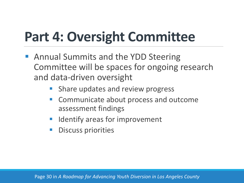### **Part 4: Oversight Committee**

- **Annual Summits and the YDD Steering** Committee will be spaces for ongoing research and data-driven oversight
	- Share updates and review progress
	- **EX Communicate about process and outcome** assessment findings
	- Identify areas for improvement
	- Discuss priorities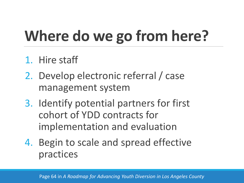# **Where do we go from here?**

- 1. Hire staff
- 2. Develop electronic referral / case management system
- 3. Identify potential partners for first cohort of YDD contracts for implementation and evaluation
- 4. Begin to scale and spread effective practices

Page 64 in *A Roadmap for Advancing Youth Diversion in Los Angeles County*